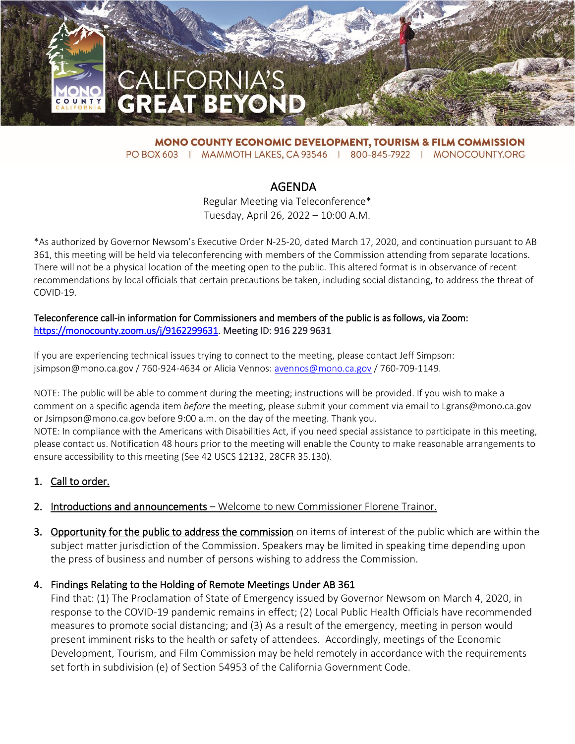

**MONO COUNTY ECONOMIC DEVELOPMENT, TOURISM & FILM COMMISSION** PO BOX 603 | MAMMOTH LAKES, CA 93546 | 800-845-7922 | MONOCOUNTY.ORG

# AGENDA

Regular Meeting via Teleconference\* Tuesday, April 26, 2022 – 10:00 A.M.

\*As authorized by Governor Newsom's Executive Order N-25-20, dated March 17, 2020, and continuation pursuant to AB 361, this meeting will be held via teleconferencing with members of the Commission attending from separate locations. There will not be a physical location of the meeting open to the public. This altered format is in observance of recent recommendations by local officials that certain precautions be taken, including social distancing, to address the threat of COVID-19.

#### Teleconference call-in information for Commissioners and members of the public is as follows, via Zoom: [https://monocounty.zoom.us/j/9162299631.](https://monocounty.zoom.us/j/9162299631) Meeting ID: 916 229 9631

If you are experiencing technical issues trying to connect to the meeting, please contact Jeff Simpson: jsimpson@mono.ca.gov / 760-924-4634 or Alicia Vennos: [avennos@mono.ca.gov](mailto:avennos@mono.ca.gov) / 760-709-1149.

NOTE: The public will be able to comment during the meeting; instructions will be provided. If you wish to make a comment on a specific agenda item *before* the meeting, please submit your comment via email to Lgrans@mono.ca.gov or Jsimpson@mono.ca.gov before 9:00 a.m. on the day of the meeting. Thank you.

NOTE: In compliance with the Americans with Disabilities Act, if you need special assistance to participate in this meeting, please contact us. Notification 48 hours prior to the meeting will enable the County to make reasonable arrangements to ensure accessibility to this meeting (See 42 USCS 12132, 28CFR 35.130).

# 1. Call to order.

- 2. Introductions and announcements Welcome to new Commissioner Florene Trainor.
- 3. Opportunity for the public to address the commission on items of interest of the public which are within the subject matter jurisdiction of the Commission. Speakers may be limited in speaking time depending upon the press of business and number of persons wishing to address the Commission.

#### 4. Findings Relating to the Holding of Remote Meetings Under AB 361

Find that: (1) The Proclamation of State of Emergency issued by Governor Newsom on March 4, 2020, in response to the COVID-19 pandemic remains in effect; (2) Local Public Health Officials have recommended measures to promote social distancing; and (3) As a result of the emergency, meeting in person would present imminent risks to the health or safety of attendees. Accordingly, meetings of the Economic Development, Tourism, and Film Commission may be held remotely in accordance with the requirements set forth in subdivision (e) of Section 54953 of the California Government Code.